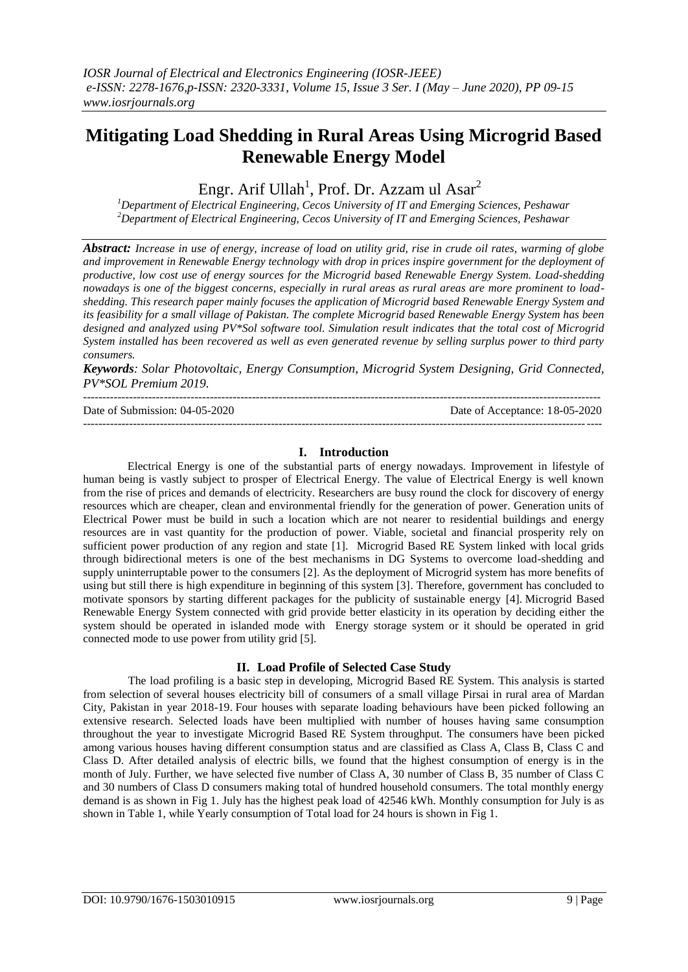# **Mitigating Load Shedding in Rural Areas Using Microgrid Based Renewable Energy Model**

Engr. Arif Ullah<sup>1</sup>, Prof. Dr. Azzam ul Asar<sup>2</sup>

*<sup>1</sup>Department of Electrical Engineering, Cecos University of IT and Emerging Sciences, Peshawar <sup>2</sup>Department of Electrical Engineering, Cecos University of IT and Emerging Sciences, Peshawar*

*Abstract: Increase in use of energy, increase of load on utility grid, rise in crude oil rates, warming of globe and improvement in Renewable Energy technology with drop in prices inspire government for the deployment of productive, low cost use of energy sources for the Microgrid based Renewable Energy System. Load-shedding nowadays is one of the biggest concerns, especially in rural areas as rural areas are more prominent to loadshedding. This research paper mainly focuses the application of Microgrid based Renewable Energy System and its feasibility for a small village of Pakistan. The complete Microgrid based Renewable Energy System has been designed and analyzed using PV\*Sol software tool. Simulation result indicates that the total cost of Microgrid System installed has been recovered as well as even generated revenue by selling surplus power to third party consumers.* 

*Keywords: Solar Photovoltaic, Energy Consumption, Microgrid System Designing, Grid Connected, PV\*SOL Premium 2019.*

--------------------------------------------------------------------------------------------------------------------------------------- Date of Submission: 04-05-2020 Date of Acceptance: 18-05-2020 ---------------------------------------------------------------------------------------------------------------------------------------

# **I. Introduction**

Electrical Energy is one of the substantial parts of energy nowadays. Improvement in lifestyle of human being is vastly subject to prosper of Electrical Energy. The value of Electrical Energy is well known from the rise of prices and demands of electricity. Researchers are busy round the clock for discovery of energy resources which are cheaper, clean and environmental friendly for the generation of power. Generation units of Electrical Power must be build in such a location which are not nearer to residential buildings and energy resources are in vast quantity for the production of power. Viable, societal and financial prosperity rely on sufficient power production of any region and state [1]. Microgrid Based RE System linked with local grids through bidirectional meters is one of the best mechanisms in DG Systems to overcome load-shedding and supply uninterruptable power to the consumers [2]. As the deployment of Microgrid system has more benefits of using but still there is high expenditure in beginning of this system [3]. Therefore, government has concluded to motivate sponsors by starting different packages for the publicity of sustainable energy [4]. Microgrid Based Renewable Energy System connected with grid provide better elasticity in its operation by deciding either the system should be operated in islanded mode with Energy storage system or it should be operated in grid connected mode to use power from utility grid [5].

### **II. Load Profile of Selected Case Study**

 The load profiling is a basic step in developing, Microgrid Based RE System. This analysis is started from selection of several houses electricity bill of consumers of a small village Pirsai in rural area of Mardan City, Pakistan in year 2018-19. Four houses with separate loading behaviours have been picked following an extensive research. Selected loads have been multiplied with number of houses having same consumption throughout the year to investigate Microgrid Based RE System throughput. The consumers have been picked among various houses having different consumption status and are classified as Class A, Class B, Class C and Class D. After detailed analysis of electric bills, we found that the highest consumption of energy is in the month of July. Further, we have selected five number of Class A, 30 number of Class B, 35 number of Class C and 30 numbers of Class D consumers making total of hundred household consumers. The total monthly energy demand is as shown in Fig 1. July has the highest peak load of 42546 kWh. Monthly consumption for July is as shown in Table 1, while Yearly consumption of Total load for 24 hours is shown in Fig 1.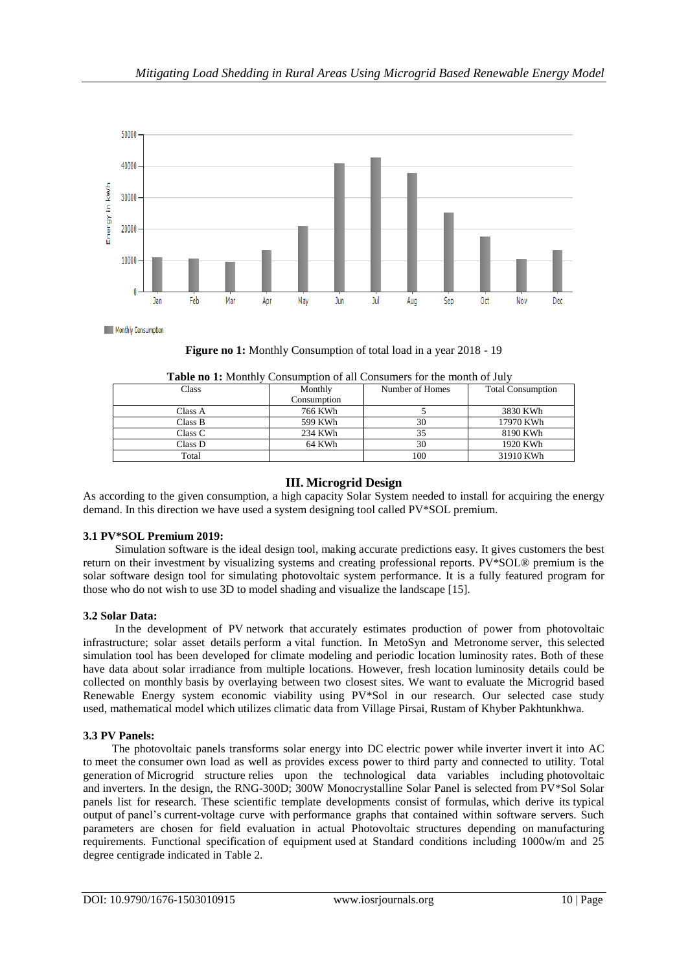

**Figure no 1:** Monthly Consumption of total load in a year 2018 - 19

| Class   | Monthly     | Number of Homes | <b>Total Consumption</b> |  |
|---------|-------------|-----------------|--------------------------|--|
|         | Consumption |                 |                          |  |
| Class A | 766 KWh     |                 | 3830 KWh                 |  |
| Class B | 599 KWh     | 30              | 17970 KWh                |  |
| Class C | 234 KWh     |                 | 8190 KWh                 |  |
| Class D | 64 KWh      | 30              | 1920 KWh                 |  |
| Total   |             | 100             | 31910 KWh                |  |

# **III. Microgrid Design**

As according to the given consumption, a high capacity Solar System needed to install for acquiring the energy demand. In this direction we have used a system designing tool called PV\*SOL premium.

### **3.1 PV\*SOL Premium 2019:**

Simulation software is the ideal design tool, making accurate predictions easy. It gives customers the best return on their investment by visualizing systems and creating professional reports. PV\*SOL® premium is the solar software design tool for simulating photovoltaic system performance. It is a fully featured program for those who do not wish to use 3D to model shading and visualize the landscape [15].

### **3.2 Solar Data:**

In the development of PV network that accurately estimates production of power from photovoltaic infrastructure; solar asset details perform a vital function. In MetoSyn and Metronome server, this selected simulation tool has been developed for climate modeling and periodic location luminosity rates. Both of these have data about solar irradiance from multiple locations. However, fresh location luminosity details could be collected on monthly basis by overlaying between two closest sites. We want to evaluate the Microgrid based Renewable Energy system economic viability using PV\*Sol in our research. Our selected case study used, mathematical model which utilizes climatic data from Village Pirsai, Rustam of Khyber Pakhtunkhwa.

### **3.3 PV Panels:**

The photovoltaic panels transforms solar energy into DC electric power while inverter invert it into AC to meet the consumer own load as well as provides excess power to third party and connected to utility. Total generation of Microgrid structure relies upon the technological data variables including photovoltaic and inverters. In the design, the RNG-300D; 300W Monocrystalline Solar Panel is selected from PV\*Sol Solar panels list for research. These scientific template developments consist of formulas, which derive its typical output of panel's current-voltage curve with performance graphs that contained within software servers. Such parameters are chosen for field evaluation in actual Photovoltaic structures depending on manufacturing requirements. Functional specification of equipment used at Standard conditions including 1000w/m and 25 degree centigrade indicated in Table 2.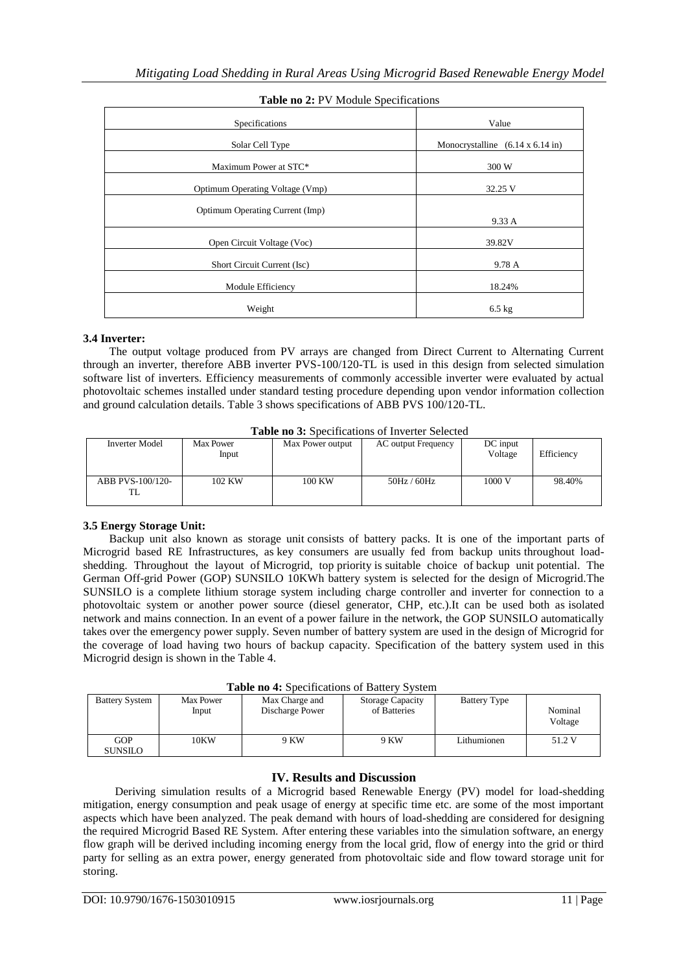| Specifications                  | Value                                           |
|---------------------------------|-------------------------------------------------|
| Solar Cell Type                 | Monocrystalline $(6.14 \times 6.14 \text{ in})$ |
| Maximum Power at STC*           | 300 W                                           |
| Optimum Operating Voltage (Vmp) | 32.25 V                                         |
| Optimum Operating Current (Imp) | 9.33 A                                          |
| Open Circuit Voltage (Voc)      | 39.82V                                          |
| Short Circuit Current (Isc)     | 9.78 A                                          |
| Module Efficiency               | 18.24%                                          |
| Weight                          | $6.5$ kg                                        |

## **Table no 2:** PV Module Specifications

### **3.4 Inverter:**

 The output voltage produced from PV arrays are changed from Direct Current to Alternating Current through an inverter, therefore ABB inverter PVS-100/120-TL is used in this design from selected simulation software list of inverters. Efficiency measurements of commonly accessible inverter were evaluated by actual photovoltaic schemes installed under standard testing procedure depending upon vendor information collection and ground calculation details. Table 3 shows specifications of ABB PVS 100/120-TL.

| <b>Table no 3:</b> Specifications of Inverter Selected |  |  |  |  |  |  |  |
|--------------------------------------------------------|--|--|--|--|--|--|--|
|--------------------------------------------------------|--|--|--|--|--|--|--|

| <b>Inverter Model</b>  | Max Power<br>Input | Max Power output | <b>AC</b> output Frequency | DC input<br>Voltage | Efficiency |
|------------------------|--------------------|------------------|----------------------------|---------------------|------------|
| ABB PVS-100/120-<br>TL | 102 KW             | 100 KW           | 50Hz / 60Hz                | 1000 V              | 98.40%     |

# **3.5 Energy Storage Unit:**

 Backup unit also known as storage unit consists of battery packs. It is one of the important parts of Microgrid based RE Infrastructures, as key consumers are usually fed from backup units throughout loadshedding. Throughout the layout of Microgrid, top priority is suitable choice of backup unit potential. The German Off-grid Power (GOP) SUNSILO 10KWh battery system is selected for the design of Microgrid.The SUNSILO is a complete lithium storage system including charge controller and inverter for connection to a photovoltaic system or another power source (diesel generator, CHP, etc.).It can be used both as isolated network and mains connection. In an event of a power failure in the network, the GOP SUNSILO automatically takes over the emergency power supply. Seven number of battery system are used in the design of Microgrid for the coverage of load having two hours of backup capacity. Specification of the battery system used in this Microgrid design is shown in the Table 4.

| <b>Table ho T.</b> Directifications of Datter's Division |                    |                                   |                                         |                     |                    |  |
|----------------------------------------------------------|--------------------|-----------------------------------|-----------------------------------------|---------------------|--------------------|--|
| <b>Battery System</b>                                    | Max Power<br>Input | Max Charge and<br>Discharge Power | <b>Storage Capacity</b><br>of Batteries | <b>Battery Type</b> | Nominal<br>Voltage |  |
| GOP<br><b>SUNSILO</b>                                    | 10KW               | 9 KW                              | 9 KW                                    | Lithumionen         | 51.2 V             |  |

# **IV. Results and Discussion**

 Deriving simulation results of a Microgrid based Renewable Energy (PV) model for load-shedding mitigation, energy consumption and peak usage of energy at specific time etc. are some of the most important aspects which have been analyzed. The peak demand with hours of load-shedding are considered for designing the required Microgrid Based RE System. After entering these variables into the simulation software, an energy flow graph will be derived including incoming energy from the local grid, flow of energy into the grid or third party for selling as an extra power, energy generated from photovoltaic side and flow toward storage unit for storing.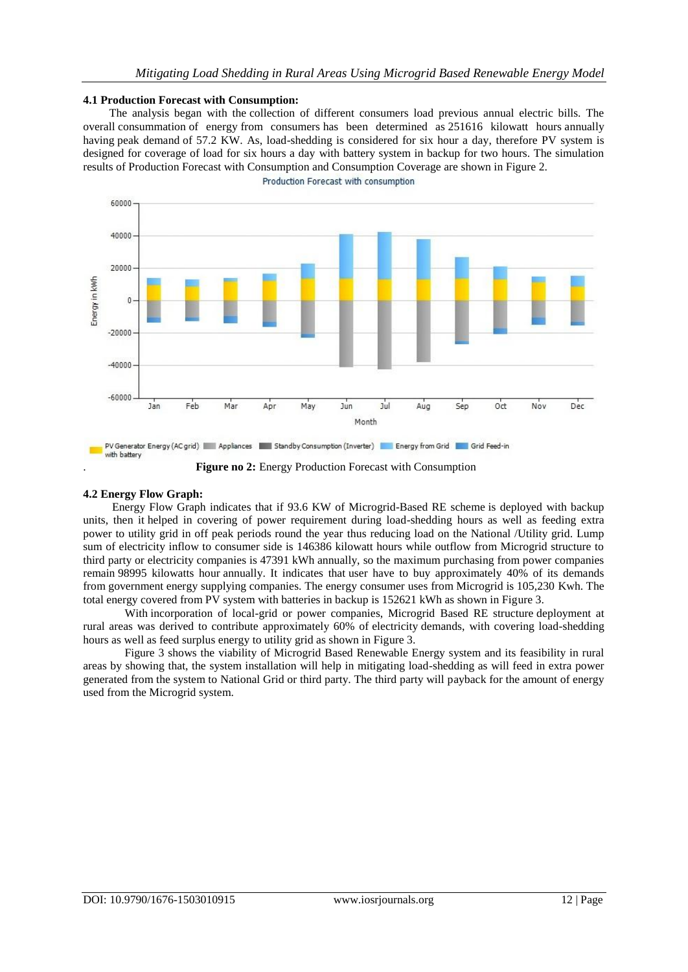#### **4.1 Production Forecast with Consumption:**

 The analysis began with the collection of different consumers load previous annual electric bills. The overall consummation of energy from consumers has been determined as 251616 kilowatt hours annually having peak demand of 57.2 KW. As, load-shedding is considered for six hour a day, therefore PV system is designed for coverage of load for six hours a day with battery system in backup for two hours. The simulation results of Production Forecast with Consumption and Consumption Coverage are shown in Figure 2. Production Forecast with consumption



. **Figure no 2:** Energy Production Forecast with Consumption

#### **4.2 Energy Flow Graph:**

Energy Flow Graph indicates that if 93.6 KW of Microgrid-Based RE scheme is deployed with backup units, then it helped in covering of power requirement during load-shedding hours as well as feeding extra power to utility grid in off peak periods round the year thus reducing load on the National /Utility grid. Lump sum of electricity inflow to consumer side is 146386 kilowatt hours while outflow from Microgrid structure to third party or electricity companies is 47391 kWh annually, so the maximum purchasing from power companies remain 98995 kilowatts hour annually. It indicates that user have to buy approximately 40% of its demands from government energy supplying companies. The energy consumer uses from Microgrid is 105,230 Kwh. The total energy covered from PV system with batteries in backup is 152621 kWh as shown in Figure 3.

With incorporation of local-grid or power companies, Microgrid Based RE structure deployment at rural areas was derived to contribute approximately 60% of electricity demands, with covering load-shedding hours as well as feed surplus energy to utility grid as shown in Figure 3.

Figure 3 shows the viability of Microgrid Based Renewable Energy system and its feasibility in rural areas by showing that, the system installation will help in mitigating load-shedding as will feed in extra power generated from the system to National Grid or third party. The third party will payback for the amount of energy used from the Microgrid system.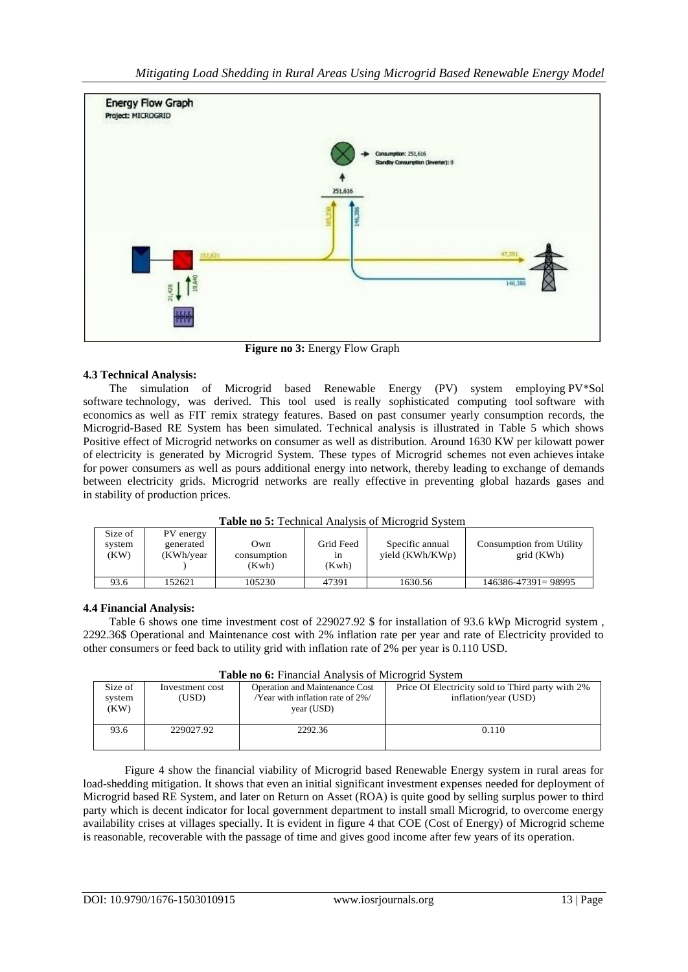

 **Figure no 3:** Energy Flow Graph

# **4.3 Technical Analysis:**

 The simulation of Microgrid based Renewable Energy (PV) system employing PV\*Sol software technology, was derived. This tool used is really sophisticated computing tool software with economics as well as FIT remix strategy features. Based on past consumer yearly consumption records, the Microgrid-Based RE System has been simulated. Technical analysis is illustrated in Table 5 which shows Positive effect of Microgrid networks on consumer as well as distribution. Around 1630 KW per kilowatt power of electricity is generated by Microgrid System. These types of Microgrid schemes not even achieves intake for power consumers as well as pours additional energy into network, thereby leading to exchange of demands between electricity grids. Microgrid networks are really effective in preventing global hazards gases and in stability of production prices.

| <b>Table no 5:</b> Technical Analysis of Microgrid System |  |  |
|-----------------------------------------------------------|--|--|
|-----------------------------------------------------------|--|--|

| Size of<br>system<br>(KW) | PV energy<br>generated<br>(KWh/year | Own<br>consumption<br>(Kwh) | Grid Feed<br>1n<br>(Kwh) | Specific annual<br>yield (KWh/KWp) | <b>Consumption from Utility</b><br>grid (KWh) |
|---------------------------|-------------------------------------|-----------------------------|--------------------------|------------------------------------|-----------------------------------------------|
| 93.6                      | 52621                               | 105230                      | 47391                    | 1630.56                            | $146386 - 47391 = 98995$                      |

# **4.4 Financial Analysis:**

Table 6 shows one time investment cost of 229027.92 \$ for installation of 93.6 kWp Microgrid system, 2292.36\$ Operational and Maintenance cost with 2% inflation rate per year and rate of Electricity provided to other consumers or feed back to utility grid with inflation rate of 2% per year is 0.110 USD.

| <b>Table no 6:</b> Financial Analysis of Microgrid System |  |
|-----------------------------------------------------------|--|
|-----------------------------------------------------------|--|

|         | Table no o. I maneral l'ula vois of ivilence la soccili |                                       |                                                  |  |  |  |
|---------|---------------------------------------------------------|---------------------------------------|--------------------------------------------------|--|--|--|
| Size of | Investment cost                                         | <b>Operation and Maintenance Cost</b> | Price Of Electricity sold to Third party with 2% |  |  |  |
| system  | (USD)                                                   | /Year with inflation rate of 2%/      | inflation/year (USD)                             |  |  |  |
| (KW)    |                                                         | year (USD)                            |                                                  |  |  |  |
|         |                                                         |                                       |                                                  |  |  |  |
| 93.6    | 229027.92                                               | 2292.36                               | 0.110                                            |  |  |  |
|         |                                                         |                                       |                                                  |  |  |  |
|         |                                                         |                                       |                                                  |  |  |  |

Figure 4 show the financial viability of Microgrid based Renewable Energy system in rural areas for load-shedding mitigation. It shows that even an initial significant investment expenses needed for deployment of Microgrid based RE System, and later on Return on Asset (ROA) is quite good by selling surplus power to third party which is decent indicator for local government department to install small Microgrid, to overcome energy availability crises at villages specially. It is evident in figure 4 that COE (Cost of Energy) of Microgrid scheme is reasonable, recoverable with the passage of time and gives good income after few years of its operation.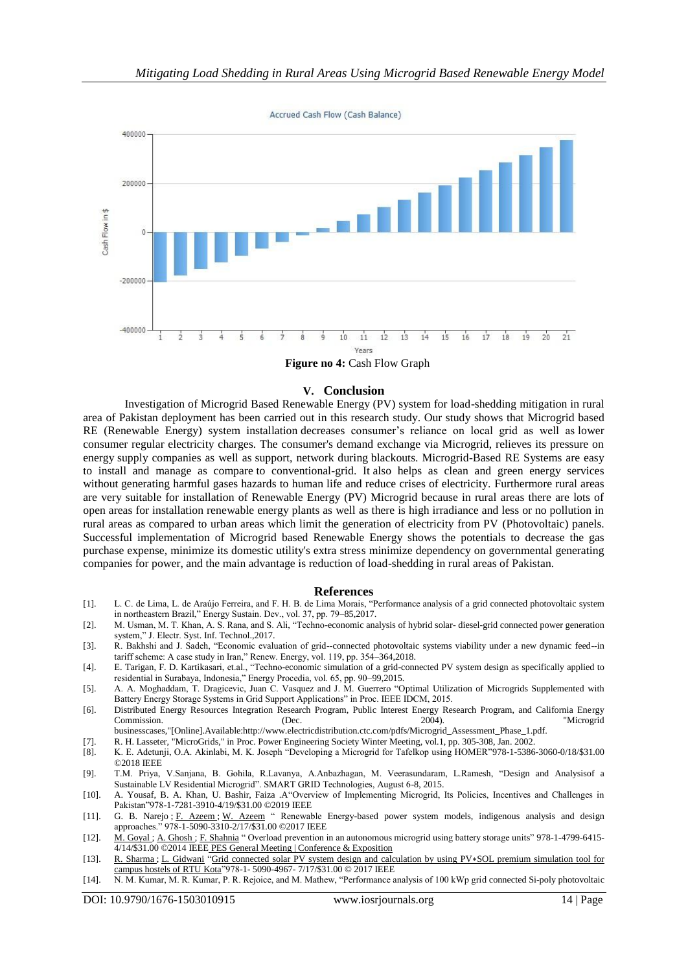Accrued Cash Flow (Cash Balance)



 **Figure no 4:** Cash Flow Graph

#### **V. Conclusion**

Investigation of Microgrid Based Renewable Energy (PV) system for load-shedding mitigation in rural area of Pakistan deployment has been carried out in this research study. Our study shows that Microgrid based RE (Renewable Energy) system installation decreases consumer's reliance on local grid as well as lower consumer regular electricity charges. The consumer's demand exchange via Microgrid, relieves its pressure on energy supply companies as well as support, network during blackouts. Microgrid-Based RE Systems are easy to install and manage as compare to conventional-grid. It also helps as clean and green energy services without generating harmful gases hazards to human life and reduce crises of electricity. Furthermore rural areas are very suitable for installation of Renewable Energy (PV) Microgrid because in rural areas there are lots of open areas for installation renewable energy plants as well as there is high irradiance and less or no pollution in rural areas as compared to urban areas which limit the generation of electricity from PV (Photovoltaic) panels. Successful implementation of Microgrid based Renewable Energy shows the potentials to decrease the gas purchase expense, minimize its domestic utility's extra stress minimize dependency on governmental generating companies for power, and the main advantage is reduction of load-shedding in rural areas of Pakistan.

#### **References**

- [1]. L. C. de Lima, L. de Araújo Ferreira, and F. H. B. de Lima Morais, "Performance analysis of a grid connected photovoltaic system in northeastern Brazil," Energy Sustain. Dev., vol. 37, pp. 79–85,2017.
- [2]. M. Usman, M. T. Khan, A. S. Rana, and S. Ali, "Techno-economic analysis of hybrid solar- diesel-grid connected power generation system," J. Electr. Syst. Inf. Technol.,2017.
- [3]. R. Bakhshi and J. Sadeh, "Economic evaluation of grid--connected photovoltaic systems viability under a new dynamic feed--in tariff scheme: A case study in Iran," Renew. Energy, vol. 119, pp. 354–364,2018.
- [4]. E. Tarigan, F. D. Kartikasari, et.al., "Techno-economic simulation of a grid-connected PV system design as specifically applied to residential in Surabaya, Indonesia," Energy Procedia, vol. 65, pp. 90–99,2015.
- [5]. A. A. Moghaddam, T. Dragicevic, Juan C. Vasquez and J. M. Guerrero "Optimal Utilization of Microgrids Supplemented with Battery Energy Storage Systems in Grid Support Applications" in Proc. IEEE IDCM, 2015.
- [6]. Distributed Energy Resources Integration Research Program, Public Interest Energy Research Program, and California Energy Commission. (Dec. 2004). "Microgrid businesscases,"[Online].Available:http://www.electricdistribution.ctc.com/pdfs/Microgrid\_Assessment\_Phase\_1.pdf.
- [7]. R. H. Lasseter, "MicroGrids," in Proc. Power Engineering Society Winter Meeting, vol.1, pp. 305-308, Jan. 2002.
- [8]. K. E. Adetunji, O.A. Akinlabi, M. K. Joseph "Developing a Microgrid for Tafelkop using HOMER"978-1-5386-3060-0/18/\$31.00 ©2018 IEEE
- [9]. T.M. Priya, V.Sanjana, B. Gohila, R.Lavanya, A.Anbazhagan, M. Veerasundaram, L.Ramesh, "Design and Analysisof a Sustainable LV Residential Microgrid". SMART GRID Technologies, August 6-8, 2015.
- [10]. A. Yousaf, B. A. Khan, U. Bashir, Faiza .A"Overview of Implementing Microgrid, Its Policies, Incentives and Challenges in Pakistan"978-1-7281-3910-4/19/\$31.00 ©2019 IEEE
- [11]. G. B. Narejo ; [F. Azeem](https://ieeexplore.ieee.org/author/37085673763) ; [W. Azeem](https://ieeexplore.ieee.org/author/37086063712) " Renewable Energy-based power system models, indigenous analysis and design approaches." 978-1-5090-3310-2/17/\$31.00 ©2017 IEEE
- [12]. [M. Goyal](https://ieeexplore.ieee.org/author/38243396100) ; [A. Ghosh](https://ieeexplore.ieee.org/author/37085374807) ; [F. Shahnia](https://ieeexplore.ieee.org/author/37860326400) " Overload prevention in an autonomous microgrid using battery storage units" [978-1-4799-6415-](https://ieeexplore.ieee.org/xpl/conhome/6916492/proceeding) 4/14/\$31.00 ©2014 IEEE [PES General Meeting | Conference & Exposition](https://ieeexplore.ieee.org/xpl/conhome/6916492/proceeding)
- [13]. [R. Sharma](https://ieeexplore.ieee.org/author/37085876482) ; [L. Gidwani](https://ieeexplore.ieee.org/author/37831244000) ["Grid connected solar PV system design and calculation by using PV](https://ieeexplore.ieee.org/document/8074315/)∗SOL premium simulation tool for [campus hostels of RTU Kota"](https://ieeexplore.ieee.org/document/8074315/)978-1- 5090-4967- 7/17/\$31.00 © 2017 IEEE
- [14]. N. M. Kumar, M. R. Kumar, P. R. Rejoice, and M. Mathew, "Performance analysis of 100 kWp grid connected Si-poly photovoltaic